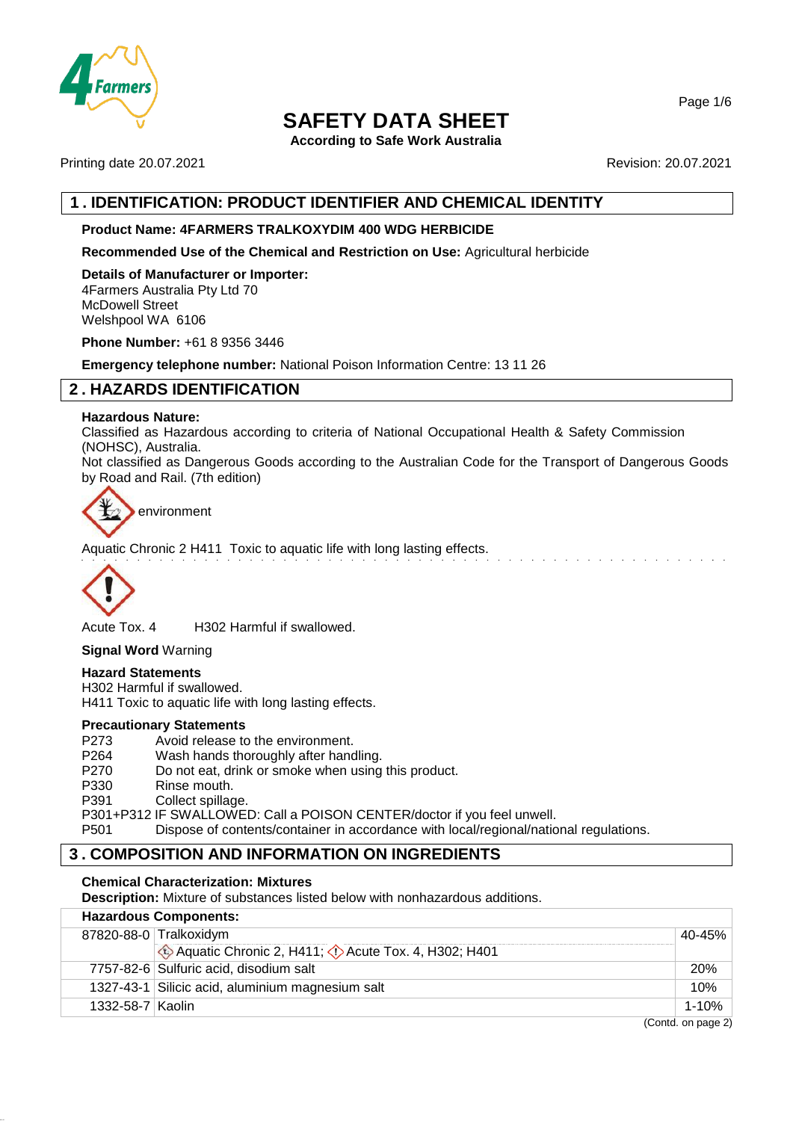

**According to Safe Work Australia**

Printing date 20.07.2021 **Revision: 20.07.2021** 

# **1 . IDENTIFICATION: PRODUCT IDENTIFIER AND CHEMICAL IDENTITY**

## **Product Name: 4FARMERS TRALKOXYDIM 400 WDG HERBICIDE**

**Recommended Use of the Chemical and Restriction on Use:** Agricultural herbicide

**Details of Manufacturer or Importer:** 4Farmers Australia Pty Ltd 70 McDowell Street Welshpool WA 6106

**Phone Number:** +61 8 9356 3446

**Emergency telephone number:** National Poison Information Centre: 13 11 26

# **2 . HAZARDS IDENTIFICATION**

#### **Hazardous Nature:**

Classified as Hazardous according to criteria of National Occupational Health & Safety Commission (NOHSC), Australia.

Not classified as Dangerous Goods according to the Australian Code for the Transport of Dangerous Goods by Road and Rail. (7th edition)



environment

Aquatic Chronic 2 H411 Toxic to aquatic life with long lasting effects.



Acute Tox. 4 H302 Harmful if swallowed.

**Signal Word** Warning

## **Hazard Statements**

H302 Harmful if swallowed. H411 Toxic to aquatic life with long lasting effects.

### **Precautionary Statements**

P273 Avoid release to the environment.<br>P264 Wash hands thoroughly after hand P264 Wash hands thoroughly after handling.<br>P270 Do not eat. drink or smoke when using Do not eat, drink or smoke when using this product. P330 Rinse mouth. P391 Collect spillage. P301+P312 IF SWALLOWED: Call a POISON CENTER/doctor if you feel unwell. P501 Dispose of contents/container in accordance with local/regional/national regulations.

# **3 . COMPOSITION AND INFORMATION ON INGREDIENTS**

#### **Chemical Characterization: Mixtures**

**Description:** Mixture of substances listed below with nonhazardous additions.

| <b>Hazardous Components:</b> |                                                     |                      |  |  |
|------------------------------|-----------------------------------------------------|----------------------|--|--|
|                              | 87820-88-0 Tralkoxidym<br>40-45%                    |                      |  |  |
|                              | Aquatic Chronic 2, H411; C Acute Tox. 4, H302; H401 |                      |  |  |
|                              | 7757-82-6 Sulfuric acid, disodium salt              | <b>20%</b>           |  |  |
|                              | 1327-43-1 Silicic acid, aluminium magnesium salt    | 10%                  |  |  |
| 1332-58-7   Kaolin           |                                                     | 1-10%                |  |  |
|                              |                                                     | $(Contd)$ on page 2) |  |  |

Page 1/6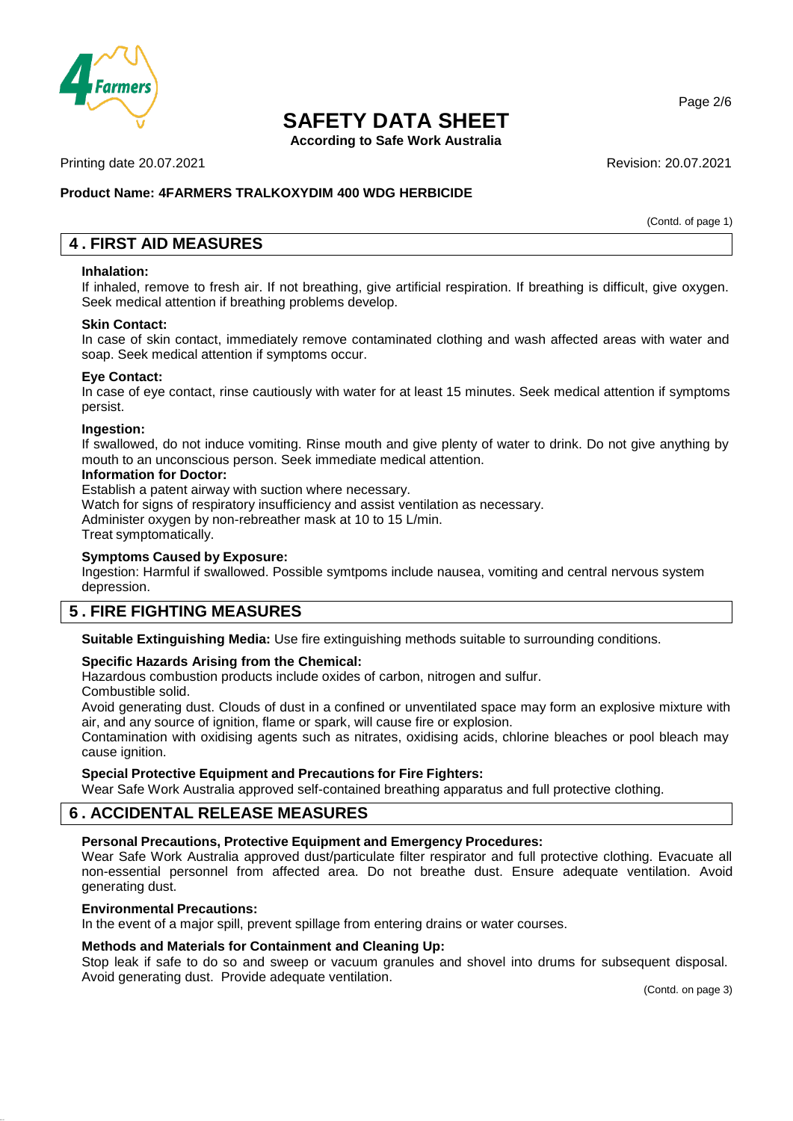

**According to Safe Work Australia**

Printing date 20.07.2021 **Revision: 20.07.2021** Revision: 20.07.2021

## **Product Name: 4FARMERS TRALKOXYDIM 400 WDG HERBICIDE**

(Contd. of page 1)

# **4 . FIRST AID MEASURES**

#### **Inhalation:**

If inhaled, remove to fresh air. If not breathing, give artificial respiration. If breathing is difficult, give oxygen. Seek medical attention if breathing problems develop.

#### **Skin Contact:**

In case of skin contact, immediately remove contaminated clothing and wash affected areas with water and soap. Seek medical attention if symptoms occur.

#### **Eye Contact:**

In case of eye contact, rinse cautiously with water for at least 15 minutes. Seek medical attention if symptoms persist.

#### **Ingestion:**

If swallowed, do not induce vomiting. Rinse mouth and give plenty of water to drink. Do not give anything by mouth to an unconscious person. Seek immediate medical attention.

#### **Information for Doctor:**

Establish a patent airway with suction where necessary.

Watch for signs of respiratory insufficiency and assist ventilation as necessary.

Administer oxygen by non-rebreather mask at 10 to 15 L/min.

Treat symptomatically.

#### **Symptoms Caused by Exposure:**

Ingestion: Harmful if swallowed. Possible symtpoms include nausea, vomiting and central nervous system depression.

## **5 . FIRE FIGHTING MEASURES**

**Suitable Extinguishing Media:** Use fire extinguishing methods suitable to surrounding conditions.

#### **Specific Hazards Arising from the Chemical:**

Hazardous combustion products include oxides of carbon, nitrogen and sulfur.

Combustible solid.

Avoid generating dust. Clouds of dust in a confined or unventilated space may form an explosive mixture with air, and any source of ignition, flame or spark, will cause fire or explosion.

Contamination with oxidising agents such as nitrates, oxidising acids, chlorine bleaches or pool bleach may cause ignition.

#### **Special Protective Equipment and Precautions for Fire Fighters:**

Wear Safe Work Australia approved self-contained breathing apparatus and full protective clothing.

# **6 . ACCIDENTAL RELEASE MEASURES**

## **Personal Precautions, Protective Equipment and Emergency Procedures:**

Wear Safe Work Australia approved dust/particulate filter respirator and full protective clothing. Evacuate all non-essential personnel from affected area. Do not breathe dust. Ensure adequate ventilation. Avoid generating dust.

#### **Environmental Precautions:**

In the event of a major spill, prevent spillage from entering drains or water courses.

#### **Methods and Materials for Containment and Cleaning Up:**

Stop leak if safe to do so and sweep or vacuum granules and shovel into drums for subsequent disposal. Avoid generating dust. Provide adequate ventilation.

(Contd. on page 3)

Page 2/6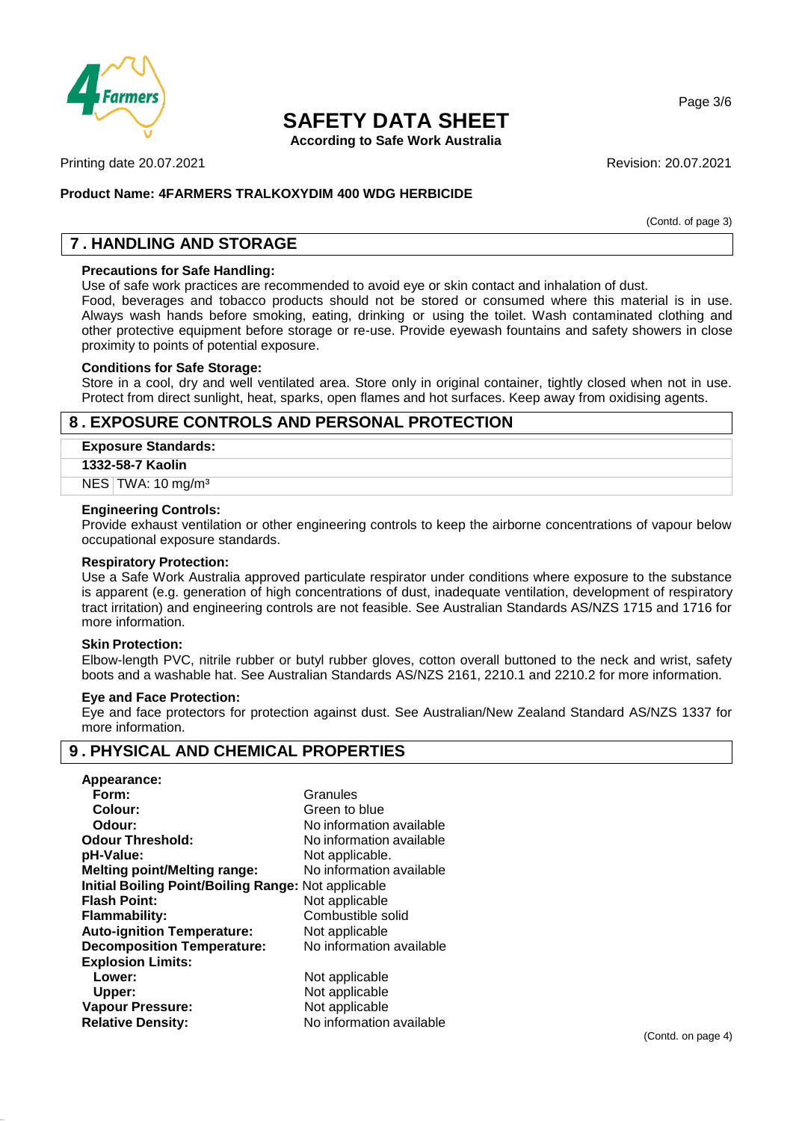

**According to Safe Work Australia**

Printing date 20.07.2021 **Revision: 20.07.2021** Revision: 20.07.2021

### **Product Name: 4FARMERS TRALKOXYDIM 400 WDG HERBICIDE**

(Contd. of page 3)

Page 3/6

# **7 . HANDLING AND STORAGE**

## **Precautions for Safe Handling:**

Use of safe work practices are recommended to avoid eye or skin contact and inhalation of dust.

Food, beverages and tobacco products should not be stored or consumed where this material is in use. Always wash hands before smoking, eating, drinking or using the toilet. Wash contaminated clothing and other protective equipment before storage or re-use. Provide eyewash fountains and safety showers in close proximity to points of potential exposure.

#### **Conditions for Safe Storage:**

Store in a cool, dry and well ventilated area. Store only in original container, tightly closed when not in use. Protect from direct sunlight, heat, sparks, open flames and hot surfaces. Keep away from oxidising agents.

## **8 . EXPOSURE CONTROLS AND PERSONAL PROTECTION**

#### **Exposure Standards:**

#### **1332-58-7 Kaolin**

NES TWA: 10 mg/m<sup>3</sup>

#### **Engineering Controls:**

Provide exhaust ventilation or other engineering controls to keep the airborne concentrations of vapour below occupational exposure standards.

#### **Respiratory Protection:**

Use a Safe Work Australia approved particulate respirator under conditions where exposure to the substance is apparent (e.g. generation of high concentrations of dust, inadequate ventilation, development of respiratory tract irritation) and engineering controls are not feasible. See Australian Standards AS/NZS 1715 and 1716 for more information.

#### **Skin Protection:**

Elbow-length PVC, nitrile rubber or butyl rubber gloves, cotton overall buttoned to the neck and wrist, safety boots and a washable hat. See Australian Standards AS/NZS 2161, 2210.1 and 2210.2 for more information.

#### **Eye and Face Protection:**

Eye and face protectors for protection against dust. See Australian/New Zealand Standard AS/NZS 1337 for more information.

# **9 . PHYSICAL AND CHEMICAL PROPERTIES**

| Appearance:                                                |                          |
|------------------------------------------------------------|--------------------------|
| Form:                                                      | Granules                 |
| Colour:                                                    | Green to blue            |
| Odour:                                                     | No information available |
| <b>Odour Threshold:</b>                                    | No information available |
| pH-Value:                                                  | Not applicable.          |
| <b>Melting point/Melting range:</b>                        | No information available |
| <b>Initial Boiling Point/Boiling Range: Not applicable</b> |                          |
| <b>Flash Point:</b>                                        | Not applicable           |
| Flammability:                                              | Combustible solid        |
| <b>Auto-ignition Temperature:</b>                          | Not applicable           |
| <b>Decomposition Temperature:</b>                          | No information available |
| <b>Explosion Limits:</b>                                   |                          |
| Lower:                                                     | Not applicable           |
| Upper:                                                     | Not applicable           |
| <b>Vapour Pressure:</b>                                    | Not applicable           |
| <b>Relative Density:</b>                                   | No information available |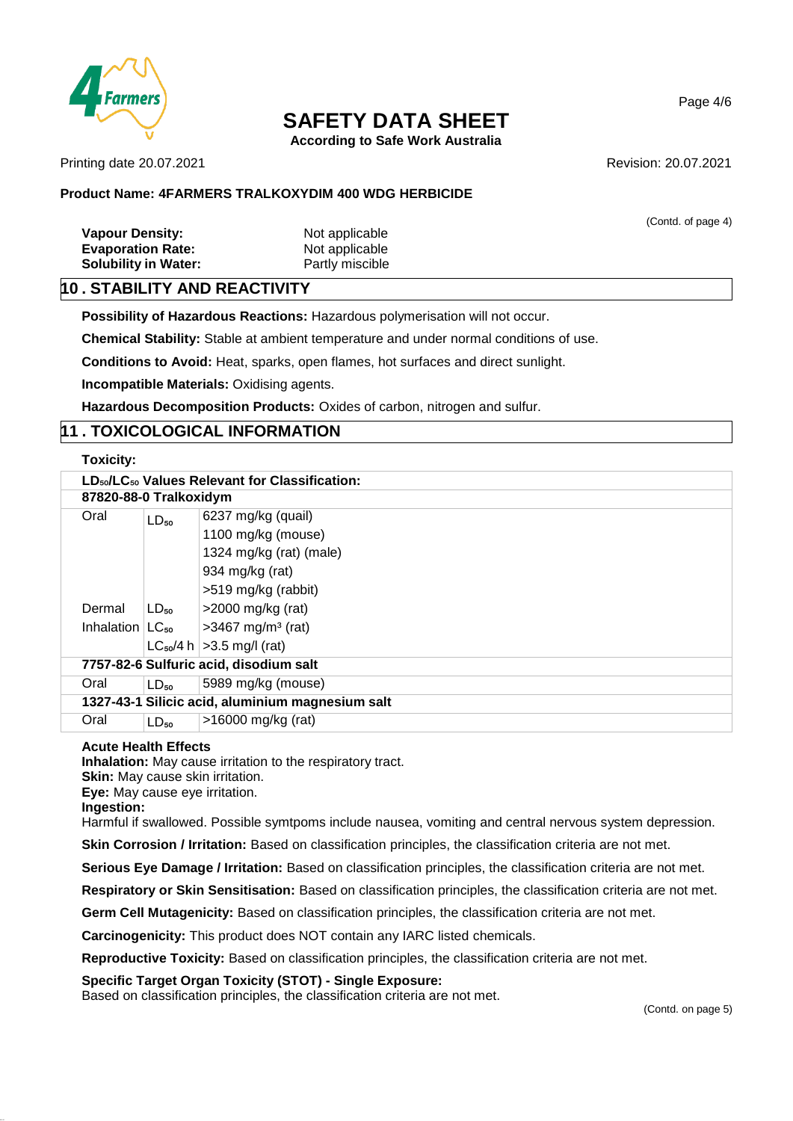

**According to Safe Work Australia**

Printing date 20.07.2021 **Revision: 20.07.2021** 

### **Product Name: 4FARMERS TRALKOXYDIM 400 WDG HERBICIDE**

(Contd. of page 4) **Vapour Density:** Not applicable **Evaporation Rate:** Not applicable **Solubility in Water:** Partly miscible

# **10 . STABILITY AND REACTIVITY**

**Possibility of Hazardous Reactions:** Hazardous polymerisation will not occur.

**Chemical Stability:** Stable at ambient temperature and under normal conditions of use.

**Conditions to Avoid:** Heat, sparks, open flames, hot surfaces and direct sunlight.

**Incompatible Materials:** Oxidising agents.

**Hazardous Decomposition Products:** Oxides of carbon, nitrogen and sulfur.

# **11 . TOXICOLOGICAL INFORMATION**

#### **Toxicity:**

| LD <sub>50</sub> /LC <sub>50</sub> Values Relevant for Classification: |           |                                  |  |  |  |  |
|------------------------------------------------------------------------|-----------|----------------------------------|--|--|--|--|
| 87820-88-0 Tralkoxidym                                                 |           |                                  |  |  |  |  |
| Oral                                                                   | $LD_{50}$ | 6237 mg/kg (quail)               |  |  |  |  |
|                                                                        |           | 1100 mg/kg (mouse)               |  |  |  |  |
|                                                                        |           | 1324 mg/kg (rat) (male)          |  |  |  |  |
|                                                                        |           | 934 mg/kg (rat)                  |  |  |  |  |
|                                                                        |           | >519 mg/kg (rabbit)              |  |  |  |  |
| Dermal                                                                 | $LD_{50}$ | $>$ 2000 mg/kg (rat)             |  |  |  |  |
| Inhalation $ LC_{50} $                                                 |           | $>3467$ mg/m <sup>3</sup> (rat)  |  |  |  |  |
|                                                                        |           | $LC_{50}/4 h$   > 3.5 mg/l (rat) |  |  |  |  |
| 7757-82-6 Sulfuric acid, disodium salt                                 |           |                                  |  |  |  |  |
| Oral                                                                   | $LD_{50}$ | 5989 mg/kg (mouse)               |  |  |  |  |
| 1327-43-1 Silicic acid, aluminium magnesium salt                       |           |                                  |  |  |  |  |
| Oral                                                                   | $LD_{50}$ | $>16000$ mg/kg (rat)             |  |  |  |  |

#### **Acute Health Effects**

**Inhalation:** May cause irritation to the respiratory tract.

**Skin:** May cause skin irritation.

**Eye:** May cause eye irritation.

**Ingestion:**

Harmful if swallowed. Possible symtpoms include nausea, vomiting and central nervous system depression.

**Skin Corrosion / Irritation:** Based on classification principles, the classification criteria are not met.

**Serious Eye Damage / Irritation:** Based on classification principles, the classification criteria are not met.

**Respiratory or Skin Sensitisation:** Based on classification principles, the classification criteria are not met.

**Germ Cell Mutagenicity:** Based on classification principles, the classification criteria are not met.

**Carcinogenicity:** This product does NOT contain any IARC listed chemicals.

**Reproductive Toxicity:** Based on classification principles, the classification criteria are not met.

**Specific Target Organ Toxicity (STOT) - Single Exposure:**

Based on classification principles, the classification criteria are not met.

Page 4/6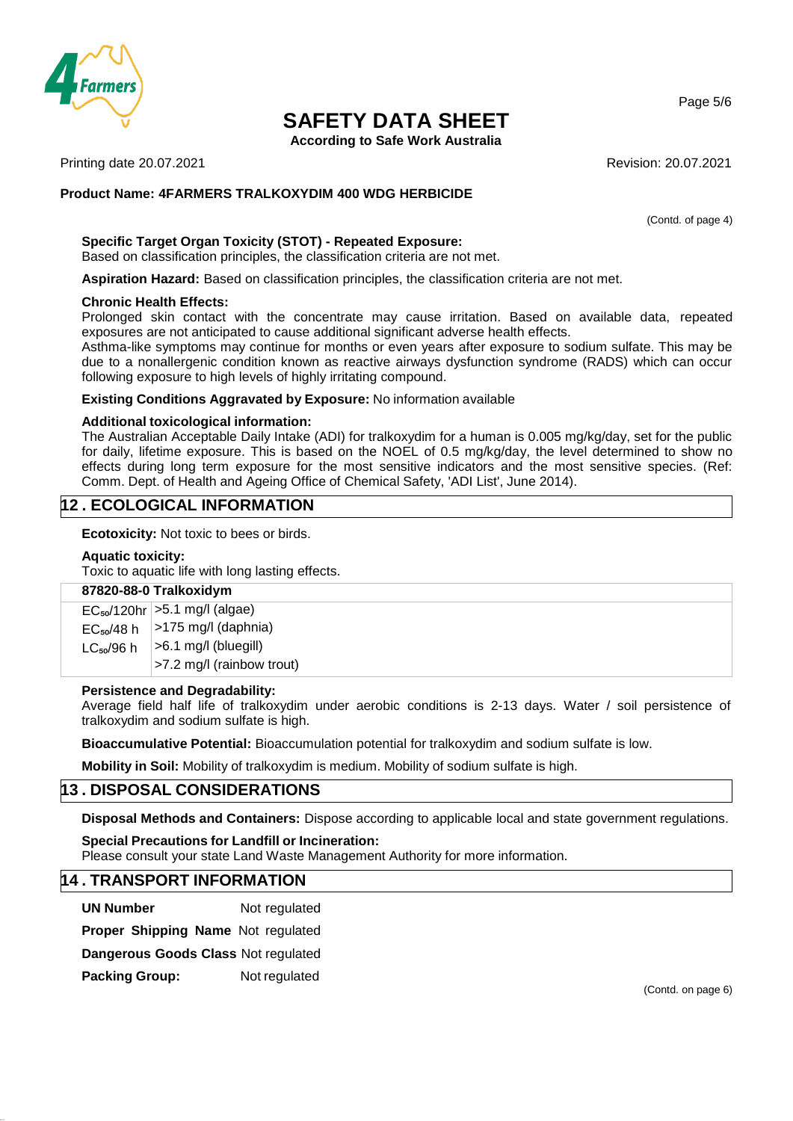

**According to Safe Work Australia**

Printing date 20.07.2021 **Revision: 20.07.2021** Revision: 20.07.2021

## **Product Name: 4FARMERS TRALKOXYDIM 400 WDG HERBICIDE**

(Contd. of page 4)

## **Specific Target Organ Toxicity (STOT) - Repeated Exposure:**

Based on classification principles, the classification criteria are not met.

**Aspiration Hazard:** Based on classification principles, the classification criteria are not met.

#### **Chronic Health Effects:**

Prolonged skin contact with the concentrate may cause irritation. Based on available data, repeated exposures are not anticipated to cause additional significant adverse health effects.

Asthma-like symptoms may continue for months or even years after exposure to sodium sulfate. This may be due to a nonallergenic condition known as reactive airways dysfunction syndrome (RADS) which can occur following exposure to high levels of highly irritating compound.

#### **Existing Conditions Aggravated by Exposure:** No information available

#### **Additional toxicological information:**

The Australian Acceptable Daily Intake (ADI) for tralkoxydim for a human is 0.005 mg/kg/day, set for the public for daily, lifetime exposure. This is based on the NOEL of 0.5 mg/kg/day, the level determined to show no effects during long term exposure for the most sensitive indicators and the most sensitive species. (Ref: Comm. Dept. of Health and Ageing Office of Chemical Safety, 'ADI List', June 2014).

## **12 . ECOLOGICAL INFORMATION**

**Ecotoxicity:** Not toxic to bees or birds.

#### **Aquatic toxicity:**

Toxic to aquatic life with long lasting effects.

#### **87820-88-0 Tralkoxidym**

EC₅₀/120hr >5.1 mg/l (algae)  $\mathsf{EC}_{\mathsf{so}}$ /48 h $\mid$  >175 mg/l (daphnia)  $LC_{50}/96$  h >6.1 mg/l (bluegill) >7.2 mg/l (rainbow trout)

#### **Persistence and Degradability:**

Average field half life of tralkoxydim under aerobic conditions is 2-13 days. Water / soil persistence of tralkoxydim and sodium sulfate is high.

**Bioaccumulative Potential:** Bioaccumulation potential for tralkoxydim and sodium sulfate is low.

**Mobility in Soil:** Mobility of tralkoxydim is medium. Mobility of sodium sulfate is high.

## **13 . DISPOSAL CONSIDERATIONS**

**Disposal Methods and Containers:** Dispose according to applicable local and state government regulations.

**Special Precautions for Landfill or Incineration:** Please consult your state Land Waste Management Authority for more information.

## **14 . TRANSPORT INFORMATION**

**UN Number** Not regulated

**Proper Shipping Name** Not regulated

**Dangerous Goods Class** Not regulated

**Packing Group:** Not regulated

(Contd. on page 6)